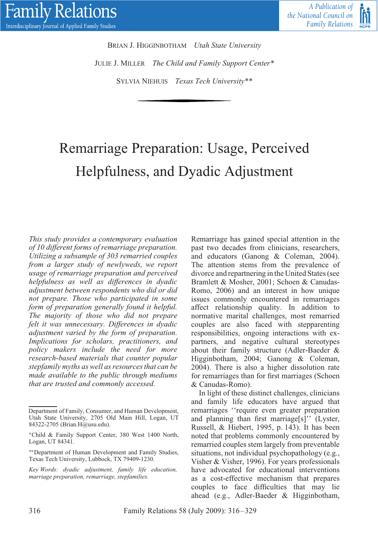

BRIAN J. HIGGINBOTHAM *Utah State University* JULIE J. MILLER *The Child and Family Support Center\** SYLVIA NIEHUIS *Texas Tech University\*\**

# Remarriage Preparation: Usage, Perceived Helpfulness, and Dyadic Adjustment

*This study provides a contemporary evaluation of 10 different forms of remarriage preparation. Utilizing a subsample of 303 remarried couples from a larger study of newlyweds, we report usage of remarriage preparation and perceived helpfulness as well as differences in dyadic adjustment between respondents who did or did not prepare. Those who participated in some form of preparation generally found it helpful. The majority of those who did not prepare felt it was unnecessary. Differences in dyadic adjustment varied by the form of preparation. Implications for scholars, practitioners, and policy makers include the need for more research-based materials that counter popular stepfamily myths as well as resources that can be made available to the public through mediums that are trusted and commonly accessed.*

Remarriage has gained special attention in the past two decades from clinicians, researchers, and educators (Ganong & Coleman, 2004). The attention stems from the prevalence of divorce and repartnering in the United States (see Bramlett & Mosher, 2001; Schoen & Canudas-Romo, 2006) and an interest in how unique issues commonly encountered in remarriages affect relationship quality. In addition to normative marital challenges, most remarried couples are also faced with stepparenting responsibilities, ongoing interactions with expartners, and negative cultural stereotypes about their family structure (Adler-Baeder & Higginbotham, 2004; Ganong & Coleman, 2004). There is also a higher dissolution rate for remarriages than for first marriages (Schoen & Canudas-Romo).

In light of these distinct challenges, clinicians and family life educators have argued that remarriages ''require even greater preparation and planning than first marriage[s]'' (Lyster, Russell, & Hiebert, 1995, p. 143). It has been noted that problems commonly encountered by remarried couples stem largely from preventable situations, not individual psychopathology (e.g., Visher & Visher, 1996). For years professionals have advocated for educational interventions as a cost-effective mechanism that prepares couples to face difficulties that may lie ahead (e.g., Adler-Baeder & Higginbotham,

Department of Family, Consumer, and Human Development, Utah State University, 2705 Old Main Hill, Logan, UT 84322-2705 (Brian.H@usu.edu).

<sup>∗</sup>Child & Family Support Center, 380 West 1400 North, Logan, UT 84341.

<sup>∗∗</sup>Department of Human Development and Family Studies, Texas Tech University, Lubbock, TX 79409-1230.

*Key Words: dyadic adjustment, family life education, marriage preparation, remarriage, stepfamilies.*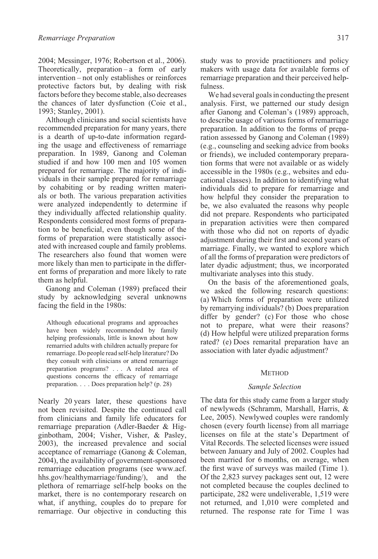2004; Messinger, 1976; Robertson et al., 2006). Theoretically, preparation – a form of early intervention – not only establishes or reinforces protective factors but, by dealing with risk factors before they become stable, also decreases the chances of later dysfunction (Coie et al., 1993; Stanley, 2001).

Although clinicians and social scientists have recommended preparation for many years, there is a dearth of up-to-date information regarding the usage and effectiveness of remarriage preparation. In 1989, Ganong and Coleman studied if and how 100 men and 105 women prepared for remarriage. The majority of individuals in their sample prepared for remarriage by cohabiting or by reading written materials or both. The various preparation activities were analyzed independently to determine if they individually affected relationship quality. Respondents considered most forms of preparation to be beneficial, even though some of the forms of preparation were statistically associated with increased couple and family problems. The researchers also found that women were more likely than men to participate in the different forms of preparation and more likely to rate them as helpful.

Ganong and Coleman (1989) prefaced their study by acknowledging several unknowns facing the field in the 1980s:

Although educational programs and approaches have been widely recommended by family helping professionals, little is known about how remarried adults with children actually prepare for remarriage. Do people read self-help literature? Do they consult with clinicians or attend remarriage preparation programs? *...* A related area of questions concerns the efficacy of remarriage preparation. *...* Does preparation help? (p. 28)

Nearly 20 years later, these questions have not been revisited. Despite the continued call from clinicians and family life educators for remarriage preparation (Adler-Baeder & Higginbotham, 2004; Visher, Visher, & Pasley, 2003), the increased prevalence and social acceptance of remarriage (Ganong & Coleman, 2004), the availability of government-sponsored remarriage education programs (see www.acf. hhs.gov/healthymarriage/funding/), and the plethora of remarriage self-help books on the market, there is no contemporary research on what, if anything, couples do to prepare for remarriage. Our objective in conducting this

study was to provide practitioners and policy makers with usage data for available forms of remarriage preparation and their perceived helpfulness.

We had several goals in conducting the present analysis. First, we patterned our study design after Ganong and Coleman's (1989) approach, to describe usage of various forms of remarriage preparation. In addition to the forms of preparation assessed by Ganong and Coleman (1989) (e.g., counseling and seeking advice from books or friends), we included contemporary preparation forms that were not available or as widely accessible in the 1980s (e.g., websites and educational classes). In addition to identifying what individuals did to prepare for remarriage and how helpful they consider the preparation to be, we also evaluated the reasons why people did not prepare. Respondents who participated in preparation activities were then compared with those who did not on reports of dyadic adjustment during their first and second years of marriage. Finally, we wanted to explore which of all the forms of preparation were predictors of later dyadic adjustment; thus, we incorporated multivariate analyses into this study.

On the basis of the aforementioned goals, we asked the following research questions: (a) Which forms of preparation were utilized by remarrying individuals? (b) Does preparation differ by gender? (c) For those who chose not to prepare, what were their reasons? (d) How helpful were utilized preparation forms rated? (e) Does remarital preparation have an association with later dyadic adjustment?

#### **METHOD**

#### *Sample Selection*

The data for this study came from a larger study of newlyweds (Schramm, Marshall, Harris, & Lee, 2005). Newlywed couples were randomly chosen (every fourth license) from all marriage licenses on file at the state's Department of Vital Records. The selected licenses were issued between January and July of 2002. Couples had been married for 6 months, on average, when the first wave of surveys was mailed (Time 1). Of the 2,823 survey packages sent out, 12 were not completed because the couples declined to participate, 282 were undeliverable, 1,519 were not returned, and 1,010 were completed and returned. The response rate for Time 1 was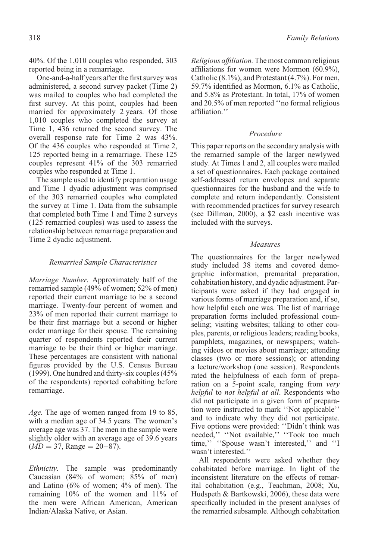40%. Of the 1,010 couples who responded, 303 reported being in a remarriage.

One-and-a-half years after the first survey was administered, a second survey packet (Time 2) was mailed to couples who had completed the first survey. At this point, couples had been married for approximately 2 years. Of those 1,010 couples who completed the survey at Time 1, 436 returned the second survey. The overall response rate for Time 2 was 43%. Of the 436 couples who responded at Time 2, 125 reported being in a remarriage. These 125 couples represent 41% of the 303 remarried couples who responded at Time 1.

The sample used to identify preparation usage and Time 1 dyadic adjustment was comprised of the 303 remarried couples who completed the survey at Time 1. Data from the subsample that completed both Time 1 and Time 2 surveys (125 remarried couples) was used to assess the relationship between remarriage preparation and Time 2 dyadic adjustment.

#### *Remarried Sample Characteristics*

*Marriage Number.* Approximately half of the remarried sample (49% of women; 52% of men) reported their current marriage to be a second marriage. Twenty-four percent of women and 23% of men reported their current marriage to be their first marriage but a second or higher order marriage for their spouse. The remaining quarter of respondents reported their current marriage to be their third or higher marriage. These percentages are consistent with national figures provided by the U.S. Census Bureau (1999). One hundred and thirty-six couples (45% of the respondents) reported cohabiting before remarriage.

*Age.* The age of women ranged from 19 to 85, with a median age of 34.5 years. The women's average age was 37. The men in the sample were slightly older with an average age of 39.6 years  $(MD = 37, \text{Range} = 20 - 87).$ 

*Ethnicity.* The sample was predominantly Caucasian (84% of women; 85% of men) and Latino (6% of women; 4% of men). The remaining 10% of the women and 11% of the men were African American, American Indian/Alaska Native, or Asian.

*Religious affiliation.* The most common religious affiliations for women were Mormon (60.9%), Catholic (8.1%), and Protestant (4.7%). For men, 59.7% identified as Mormon, 6.1% as Catholic, and 5.8% as Protestant. In total, 17% of women and 20.5% of men reported ''no formal religious affiliation.''

## *Procedure*

This paper reports on the secondary analysis with the remarried sample of the larger newlywed study. At Times 1 and 2, all couples were mailed a set of questionnaires. Each package contained self-addressed return envelopes and separate questionnaires for the husband and the wife to complete and return independently. Consistent with recommended practices for survey research (see Dillman, 2000), a \$2 cash incentive was included with the surveys.

#### *Measures*

The questionnaires for the larger newlywed study included 38 items and covered demographic information, premarital preparation, cohabitation history, and dyadic adjustment. Participants were asked if they had engaged in various forms of marriage preparation and, if so, how helpful each one was. The list of marriage preparation forms included professional counseling; visiting websites; talking to other couples, parents, or religious leaders; reading books, pamphlets, magazines, or newspapers; watching videos or movies about marriage; attending classes (two or more sessions); or attending a lecture/workshop (one session). Respondents rated the helpfulness of each form of preparation on a 5-point scale, ranging from *very helpful* to *not helpful at all*. Respondents who did not participate in a given form of preparation were instructed to mark ''Not applicable'' and to indicate why they did not participate. Five options were provided: ''Didn't think was needed,'' ''Not available,'' ''Took too much time,'' ''Spouse wasn't interested,'' and ''I wasn't interested.''

All respondents were asked whether they cohabitated before marriage. In light of the inconsistent literature on the effects of remarital cohabitation (e.g., Teachman, 2008; Xu, Hudspeth & Bartkowski, 2006), these data were specifically included in the present analyses of the remarried subsample. Although cohabitation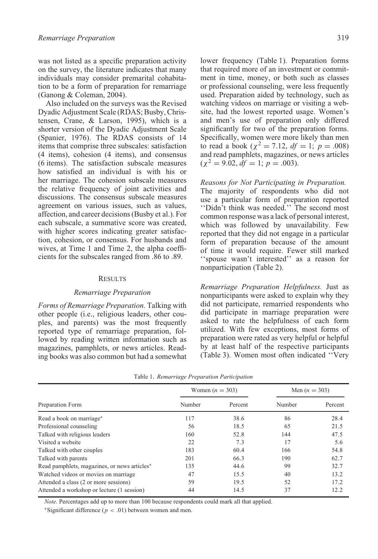was not listed as a specific preparation activity on the survey, the literature indicates that many individuals may consider premarital cohabitation to be a form of preparation for remarriage (Ganong & Coleman, 2004).

Also included on the surveys was the Revised Dyadic Adjustment Scale (RDAS; Busby, Christensen, Crane, & Larson, 1995), which is a shorter version of the Dyadic Adjustment Scale (Spanier, 1976). The RDAS consists of 14 items that comprise three subscales: satisfaction (4 items), cohesion (4 items), and consensus (6 items). The satisfaction subscale measures how satisfied an individual is with his or her marriage. The cohesion subscale measures the relative frequency of joint activities and discussions. The consensus subscale measures agreement on various issues, such as values, affection, and career decisions (Busby et al.). For each subscale, a summative score was created, with higher scores indicating greater satisfaction, cohesion, or consensus. For husbands and wives, at Time 1 and Time 2, the alpha coefficients for the subscales ranged from .86 to .89.

#### RESULTS

## *Remarriage Preparation*

*Forms of Remarriage Preparation.* Talking with other people (i.e., religious leaders, other couples, and parents) was the most frequently reported type of remarriage preparation, followed by reading written information such as magazines, pamphlets, or news articles. Reading books was also common but had a somewhat lower frequency (Table 1). Preparation forms that required more of an investment or commitment in time, money, or both such as classes or professional counseling, were less frequently used. Preparation aided by technology, such as watching videos on marriage or visiting a website, had the lowest reported usage. Women's and men's use of preparation only differed significantly for two of the preparation forms. Specifically, women were more likely than men to read a book ( $\chi^2 = 7.12$ ,  $df = 1$ ;  $p = .008$ ) and read pamphlets, magazines, or news articles  $(\chi^2 = 9.02, df = 1; p = .003).$ 

#### *Reasons for Not Participating in Preparation.*

The majority of respondents who did not use a particular form of preparation reported ''Didn't think was needed.'' The second most common response was a lack of personal interest, which was followed by unavailability. Few reported that they did not engage in a particular form of preparation because of the amount of time it would require. Fewer still marked ''spouse wasn't interested'' as a reason for nonparticipation (Table 2).

*Remarriage Preparation Helpfulness.* Just as nonparticipants were asked to explain why they did not participate, remarried respondents who did participate in marriage preparation were asked to rate the helpfulness of each form utilized. With few exceptions, most forms of preparation were rated as very helpful or helpful by at least half of the respective participants (Table 3). Women most often indicated ''Very

|                                              | Women $(n = 303)$ |         | Men $(n = 303)$ |         |
|----------------------------------------------|-------------------|---------|-----------------|---------|
| Preparation Form                             | Number            | Percent | Number          | Percent |
| Read a book on marriage*                     | 117               | 38.6    | 86              | 28.4    |
| Professional counseling                      | 56                | 18.5    | 65              | 21.5    |
| Talked with religious leaders                | 160               | 52.8    | 144             | 47.5    |
| Visited a website                            | 22                | 7.3     | 17              | 5.6     |
| Talked with other couples                    | 183               | 60.4    | 166             | 54.8    |
| Talked with parents                          | 201               | 66.3    | 190             | 62.7    |
| Read pamphlets, magazines, or news articles* | 135               | 44.6    | 99              | 32.7    |
| Watched videos or movies on marriage         | 47                | 15.5    | 40              | 13.2    |
| Attended a class (2 or more sessions)        | 59                | 19.5    | 52              | 17.2    |
| Attended a workshop or lecture (1 session)   | 44                | 14.5    | 37              | 12.2    |

Table 1. *Remarriage Preparation Participation*

*Note*. Percentages add up to more than 100 because respondents could mark all that applied.

∗Significant difference (*p<.*01) between women and men.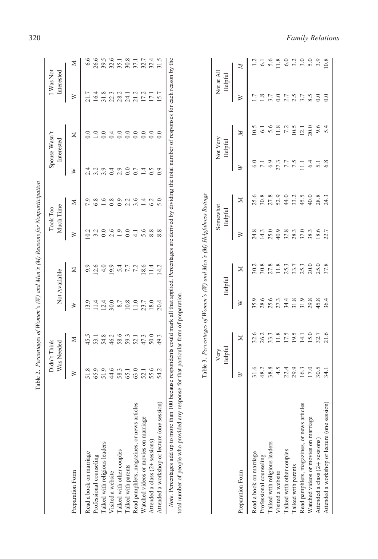|                                             |              | Was Needed<br>Didn't Think |                | Not Available | Took Too      | Much Time     |                    | Spouse Wasn't<br>Interested | I Was Not<br>Interested |      |
|---------------------------------------------|--------------|----------------------------|----------------|---------------|---------------|---------------|--------------------|-----------------------------|-------------------------|------|
| Preparation Form                            | ≽            | ≍                          | ≽              | ⋝             | ≽             | ⋝             | ≽                  | ⋝                           | ≽                       | ⊠    |
| Read a book on marriage                     | 51.8         | 45.5                       | 13.9           | 9.9           | $\sim$        | 7.9           |                    |                             |                         | 6.6  |
| Professional counseling                     | 65.9         | 53.1                       | $\frac{4}{11}$ | 12.6          | 3.2           | 6.8           | 3.2                |                             | 16.4                    | 26.6 |
| Talked with religious leaders               | 51.9         | 54.8                       | 12.4           | 4.0           |               | $\frac{6}{2}$ | 3.9                |                             | 31.8                    | 39.5 |
| Visited a website                           |              | 46.2<br>58.6               | 30.0           | 19.9          | 2.6           | 0.8           | 0.4                | $\sim 4$                    | 22.3                    | 32.6 |
| Talked with other couples                   | 44.6<br>58.3 |                            | 8.7            | 5.4           | 1.9           | 0.9           | 2.9                |                             |                         | 35.1 |
| lalked with parents                         | 65.1         | 59.3                       | 10.8           | 7.7           | $_{0.0}$      | 2.2           | $_{\odot}^{\circ}$ |                             | 24.1                    | 30.8 |
| Read pamphlets, magazines, or news articles | 63.0         | 52.1                       | 11.0           | 7.2           | $\frac{1}{4}$ | 3.6           | 0.7                | $\rm{C}$                    | 21.2                    | 37.1 |
| Watched videos or movies on marriage        | 52.1         | 47.3                       | 23.7           | 18.6          | 5.6           | 1.4           | $\vec{=}$          |                             | 17.2                    | 32.7 |
| Attended a class (2+ sessions)              | 55.6         | 50.0                       | 18.0           | 11.4          |               | 6.2           | 0.5                |                             | 17.1                    | 32.4 |
| Attended a workshop or lecture (one session | 54.2         | 49.3                       | 20.4           | 14.2          | 8.8           | 5.0           |                    |                             | 15.7                    | 31.5 |

| I<br>I                       |
|------------------------------|
| l<br>ı                       |
| i                            |
| י וח<br>ì                    |
| W                            |
| <br>$\overline{\phantom{a}}$ |
|                              |
| i di ser<br>J                |
| ١<br>ï                       |

| Preparation Form                             | ≽            | Σ               | ≽    | Σ                                                                     | ≽             | Σ                   | ≽                  | Σ                   | ≽                     | Σ    |
|----------------------------------------------|--------------|-----------------|------|-----------------------------------------------------------------------|---------------|---------------------|--------------------|---------------------|-----------------------|------|
| Read a book on marriage                      | 51.8         | 45.5            | 13.9 | 9.9                                                                   | 10.2          | 7.9                 | 2.4                | $\rm{C}$            | 21.7                  | 6.6  |
| Professional counseling                      | 65.9         | 53.1            | 11.4 | 12.6                                                                  | 3.2           | 6.8                 | 3.2                | $\overline{1.0}$    | 16.4                  | 26.6 |
| Talked with religious leaders                | 51.9         | 54.8            | 12.4 | 4.0                                                                   | 0.0           | 1.6                 | 3.9                | 0.0                 | 31.8                  | 39.5 |
| Visited a website                            | 44.6         | 46.2            | 30.0 | 19.9                                                                  | 2.6           | 0.8                 | 0.4                | 0.4                 | 22.3                  | 32.6 |
| Talked with other couples                    | 58.3         | 58.6            | 8.7  | 5.4                                                                   | 1.9           | 0.9                 | 2.9                | 0.0                 | 28.2                  | 35.1 |
| Talked with parents                          | 65.1         | 59.3            | 10.8 | 7.7                                                                   | 0.0           | 2.2                 | 0.0                | 0.0                 | 24.1                  | 30.8 |
| Read pamphlets, magazines, or news articles  | 63.0         | 52.1            | 11.0 | 7.2                                                                   | $\frac{1}{4}$ | 3.6                 | 0.7                | 0.0                 | 21.2                  | 37.1 |
| Watched videos or movies on marriage         | 52.1         | 47.3            | 23.7 | 18.6                                                                  | 5.6           | 1.4                 | 1.4                | 0.0                 | 17.2                  | 32.7 |
| Attended a class (2+ sessions)               | 55.6         | 50.0            | 18.0 | 11.4                                                                  | 8.8           | 6.2                 | 0.5                | 0.0                 | 17.1                  | 32.4 |
| Attended a workshop or lecture (one session) | 54.2         | 49.3            | 20.4 | 14.2                                                                  | 8.8           | 5.0                 | $_{0.9}$           | $\overline{0.0}$    | 15.7                  | 31.5 |
|                                              |              |                 |      | Table 3. Percentages of Women's (W) and Men's (M) Helpfulness Ratings |               |                     |                    |                     |                       |      |
|                                              |              | Helpful<br>Very |      | Helpful                                                               |               | Somewhat<br>Helpful |                    | Not Very<br>Helpful | Not at All<br>Helpful |      |
| Preparation Form                             | ≥            | Z               | ≥    | ⊠                                                                     | ≽             | Σ                   | ≥                  | Z                   | ≥                     | Z    |
| Read a book on marriage                      | 31.6         | 32.6            | 35.9 | 30.2                                                                  | 24.8          | 25.6                |                    | 0.5                 | 7                     |      |
| Professional counseling                      | 48.2         | 26.2            | 28.6 | 30.8                                                                  | 14.3          | 30.8                | $7.1\,$            | 6.1                 | $\frac{8}{1}$         | 6.1  |
| Talked with religious leaders                | 38.8         | 33.3            | 25.6 | 27.8                                                                  | 25.0          | 27.8                | 6.9                | 5.6                 | 3.7                   | 5.6  |
| Visited a website                            | 4.5          | 11.8            | 27.3 | 11.8                                                                  | 40.9          | 52.9                |                    | 11.8                | 0.0                   | 11.8 |
| Talked with other couples                    | 22.4         | 17.5            | 34.4 | 25.3                                                                  | 32.8          | 44.0                | 27.3<br>7.7<br>7.5 | 7.2                 | 2.7                   | 6.0  |
| Talked with parents                          | 29.9         | 19.5            | 31.8 | 33.7                                                                  | 28.3          | 33.2                |                    | 10.5                | 2.5                   | 3.2  |
| Read pamphlets, magazines, or news article   | 16.3         | 14.1            | 31.9 | 25.3                                                                  | 37.0          | 45.5                | $\Xi$              | 12.1                | 3.7                   | 3.0  |
| Watched videos or movies on marriage         | 17.0<br>30.5 | 15.0            | 29.8 | 20.0                                                                  | 38.3          | 40.0                | 6.4                | 20.0                | 8.5                   | 5.0  |
| Attended a class (2+ sessions)               |              | 32.7            | 45.8 | 25.0                                                                  | 18.6          | 28.8                |                    | 9.6                 |                       | 3.9  |
| Attended a workshop or lecture (one session) | $-34.1$      | 21.6            | 36.4 | 37.8                                                                  |               | 24.3                |                    |                     |                       | 10.8 |
|                                              |              |                 |      |                                                                       |               |                     |                    |                     |                       |      |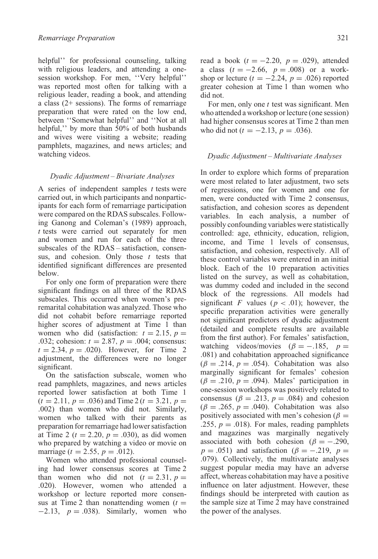helpful'' for professional counseling, talking with religious leaders, and attending a onesession workshop. For men, ''Very helpful'' was reported most often for talking with a religious leader, reading a book, and attending a class (2+ sessions). The forms of remarriage preparation that were rated on the low end, between ''Somewhat helpful'' and ''Not at all helpful," by more than 50% of both husbands and wives were visiting a website; reading pamphlets, magazines, and news articles; and watching videos.

# *Dyadic Adjustment – Bivariate Analyses*

A series of independent samples *t* tests were carried out, in which participants and nonparticipants for each form of remarriage participation were compared on the RDAS subscales. Following Ganong and Coleman's (1989) approach, *t* tests were carried out separately for men and women and run for each of the three subscales of the RDAS – satisfaction, consensus, and cohesion. Only those *t* tests that identified significant differences are presented below.

For only one form of preparation were there significant findings on all three of the RDAS subscales. This occurred when women's preremarital cohabitation was analyzed. Those who did not cohabit before remarriage reported higher scores of adjustment at Time 1 than women who did (satisfaction:  $t = 2.15$ ,  $p =$ *.*032; cohesion: *t* = 2*.*87*, p* = *.*004; consensus:  $t = 2.34, p = .020$ . However, for Time 2 adjustment, the differences were no longer significant.

On the satisfaction subscale, women who read pamphlets, magazines, and news articles reported lower satisfaction at both Time 1  $(t = 2.11, p = .036)$  and Time 2  $(t = 3.21, p =$ *.*002) than women who did not. Similarly, women who talked with their parents as preparation for remarriage had lower satisfaction at Time 2 ( $t = 2.20$ ,  $p = .030$ ), as did women who prepared by watching a video or movie on marriage ( $t = 2.55$ ,  $p = .012$ ).

Women who attended professional counseling had lower consensus scores at Time 2 than women who did not  $(t = 2.31, p =$ *.*020). However, women who attended a workshop or lecture reported more consensus at Time 2 than nonattending women  $(t =$ −2*.*13, *p* = *.*038). Similarly, women who read a book  $(t = -2.20, p = .029)$ , attended a class (*t* = −2*.*66, *p* = *.*008) or a workshop or lecture  $(t = -2.24, p = .026)$  reported greater cohesion at Time 1 than women who did not.

For men, only one *t* test was significant. Men who attended a workshop or lecture (one session) had higher consensus scores at Time 2 than men who did not  $(t = -2.13, p = .036)$ .

#### *Dyadic Adjustment – Multivariate Analyses*

In order to explore which forms of preparation were most related to later adjustment, two sets of regressions, one for women and one for men, were conducted with Time 2 consensus, satisfaction, and cohesion scores as dependent variables. In each analysis, a number of possibly confounding variables were statistically controlled: age, ethnicity, education, religion, income, and Time 1 levels of consensus, satisfaction, and cohesion, respectively. All of these control variables were entered in an initial block. Each of the 10 preparation activities listed on the survey, as well as cohabitation, was dummy coded and included in the second block of the regressions. All models had significant *F* values ( $p < .01$ ); however, the specific preparation activities were generally not significant predictors of dyadic adjustment (detailed and complete results are available from the first author). For females' satisfaction, watching videos/movies ( $\beta = -.185$ ,  $p =$ *.*081) and cohabitation approached significance  $(\beta = .214, p = .054)$ . Cohabitation was also marginally significant for females' cohesion  $(\beta = .210, p = .094)$ . Males' participation in one-session workshops was positively related to consensus ( $\beta$  = *.*213*, p* = *.*084) and cohesion  $(\beta = .265, p = .040)$ . Cohabitation was also positively associated with men's cohesion ( $\beta$  = *.*255*, p* = *.*018). For males, reading pamphlets and magazines was marginally negatively associated with both cohesion ( $\beta = -.290$ ,  $p = .051$ ) and satisfaction ( $\beta = -.219$ ,  $p =$ *.*079). Collectively, the multivariate analyses suggest popular media may have an adverse affect, whereas cohabitation may have a positive influence on later adjustment. However, these findings should be interpreted with caution as the sample size at Time 2 may have constrained the power of the analyses.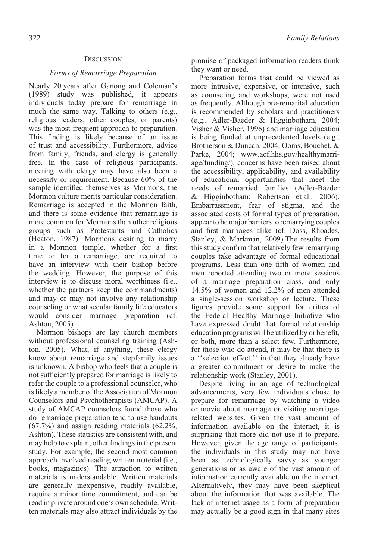## **DISCUSSION**

## *Forms of Remarriage Preparation*

Nearly 20 years after Ganong and Coleman's (1989) study was published, it appears individuals today prepare for remarriage in much the same way. Talking to others (e.g., religious leaders, other couples, or parents) was the most frequent approach to preparation. This finding is likely because of an issue of trust and accessibility. Furthermore, advice from family, friends, and clergy is generally free. In the case of religious participants, meeting with clergy may have also been a necessity or requirement. Because 60% of the sample identified themselves as Mormons, the Mormon culture merits particular consideration. Remarriage is accepted in the Mormon faith, and there is some evidence that remarriage is more common for Mormons than other religious groups such as Protestants and Catholics (Heaton, 1987). Mormons desiring to marry in a Mormon temple, whether for a first time or for a remarriage, are required to have an interview with their bishop before the wedding. However, the purpose of this interview is to discuss moral worthiness (i.e., whether the partners keep the commandments) and may or may not involve any relationship counseling or what secular family life educators would consider marriage preparation (cf. Ashton, 2005).

Mormon bishops are lay church members without professional counseling training (Ashton, 2005). What, if anything, these clergy know about remarriage and stepfamily issues is unknown. A bishop who feels that a couple is not sufficiently prepared for marriage is likely to refer the couple to a professional counselor, who is likely a member of the Association of Mormon Counselors and Psychotherapists (AMCAP). A study of AMCAP counselors found those who do remarriage preparation tend to use handouts (67.7%) and assign reading materials (62.2%; Ashton). These statistics are consistent with, and may help to explain, other findings in the present study. For example, the second most common approach involved reading written material (i.e., books, magazines). The attraction to written materials is understandable. Written materials are generally inexpensive, readily available, require a minor time commitment, and can be read in private around one's own schedule. Written materials may also attract individuals by the

promise of packaged information readers think they want or need.

Preparation forms that could be viewed as more intrusive, expensive, or intensive, such as counseling and workshops, were not used as frequently. Although pre-remarital education is recommended by scholars and practitioners (e.g., Adler-Baeder & Higginbotham, 2004; Visher & Visher, 1996) and marriage education is being funded at unprecedented levels (e.g., Brotherson & Duncan, 2004; Ooms, Bouchet, & Parke, 2004; www.acf.hhs.gov/healthymarriage/funding/), concerns have been raised about the accessibility, applicability, and availability of educational opportunities that meet the needs of remarried families (Adler-Baeder & Higginbotham; Robertson et al., 2006). Embarrassment, fear of stigma, and the associated costs of formal types of preparation, appear to be major barriers to remarrying couples and first marriages alike (cf. Doss, Rhoades, Stanley, & Markman, 2009).The results from this study confirm that relatively few remarrying couples take advantage of formal educational programs. Less than one fifth of women and men reported attending two or more sessions of a marriage preparation class, and only 14.5% of women and 12.2% of men attended a single-session workshop or lecture. These figures provide some support for critics of the Federal Healthy Marriage Initiative who have expressed doubt that formal relationship education programs will be utilized by or benefit, or both, more than a select few. Furthermore, for those who do attend, it may be that there is a ''selection effect,'' in that they already have a greater commitment or desire to make the relationship work (Stanley, 2001).

Despite living in an age of technological advancements, very few individuals chose to prepare for remarriage by watching a video or movie about marriage or visiting marriagerelated websites. Given the vast amount of information available on the internet, it is surprising that more did not use it to prepare. However, given the age range of participants, the individuals in this study may not have been as technologically savvy as younger generations or as aware of the vast amount of information currently available on the internet. Alternatively, they may have been skeptical about the information that was available. The lack of internet usage as a form of preparation may actually be a good sign in that many sites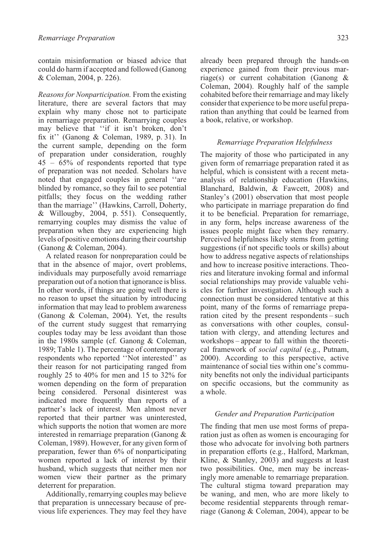contain misinformation or biased advice that could do harm if accepted and followed (Ganong & Coleman, 2004, p. 226).

*Reasons for Nonparticipation.* From the existing literature, there are several factors that may explain why many chose not to participate in remarriage preparation. Remarrying couples may believe that ''if it isn't broken, don't fix it'' (Ganong & Coleman, 1989, p. 31). In the current sample, depending on the form of preparation under consideration, roughly 45 – 65% of respondents reported that type of preparation was not needed. Scholars have noted that engaged couples in general ''are blinded by romance, so they fail to see potential pitfalls; they focus on the wedding rather than the marriage'' (Hawkins, Carroll, Doherty, & Willougby, 2004, p. 551). Consequently, remarrying couples may dismiss the value of preparation when they are experiencing high levels of positive emotions during their courtship (Ganong & Coleman, 2004).

A related reason for nonpreparation could be that in the absence of major, overt problems, individuals may purposefully avoid remarriage preparation out of a notion that ignorance is bliss. In other words, if things are going well there is no reason to upset the situation by introducing information that may lead to problem awareness (Ganong & Coleman, 2004). Yet, the results of the current study suggest that remarrying couples today may be less avoidant than those in the 1980s sample (cf. Ganong & Coleman, 1989; Table 1). The percentage of contemporary respondents who reported ''Not interested'' as their reason for not participating ranged from roughly 25 to 40% for men and 15 to 32% for women depending on the form of preparation being considered. Personal disinterest was indicated more frequently than reports of a partner's lack of interest. Men almost never reported that their partner was uninterested, which supports the notion that women are more interested in remarriage preparation (Ganong & Coleman, 1989). However, for any given form of preparation, fewer than 6% of nonparticipating women reported a lack of interest by their husband, which suggests that neither men nor women view their partner as the primary deterrent for preparation.

Additionally, remarrying couples may believe that preparation is unnecessary because of previous life experiences. They may feel they have already been prepared through the hands-on experience gained from their previous marriage(s) or current cohabitation (Ganong & Coleman, 2004). Roughly half of the sample cohabited before their remarriage and may likely consider that experience to be more useful preparation than anything that could be learned from a book, relative, or workshop.

# *Remarriage Preparation Helpfulness*

The majority of those who participated in any given form of remarriage preparation rated it as helpful, which is consistent with a recent metaanalysis of relationship education (Hawkins, Blanchard, Baldwin, & Fawcett, 2008) and Stanley's (2001) observation that most people who participate in marriage preparation do find it to be beneficial. Preparation for remarriage, in any form, helps increase awareness of the issues people might face when they remarry. Perceived helpfulness likely stems from getting suggestions (if not specific tools or skills) about how to address negative aspects of relationships and how to increase positive interactions. Theories and literature invoking formal and informal social relationships may provide valuable vehicles for further investigation. Although such a connection must be considered tentative at this point, many of the forms of remarriage preparation cited by the present respondents – such as conversations with other couples, consultation with clergy, and attending lectures and workshops – appear to fall within the theoretical framework of *social capital* (e.g., Putnam, 2000). According to this perspective, active maintenance of social ties within one's community benefits not only the individual participants on specific occasions, but the community as a whole.

# *Gender and Preparation Participation*

The finding that men use most forms of preparation just as often as women is encouraging for those who advocate for involving both partners in preparation efforts (e.g., Halford, Markman, Kline, & Stanley, 2003) and suggests at least two possibilities. One, men may be increasingly more amenable to remarriage preparation. The cultural stigma toward preparation may be waning, and men, who are more likely to become residential stepparents through remarriage (Ganong & Coleman, 2004), appear to be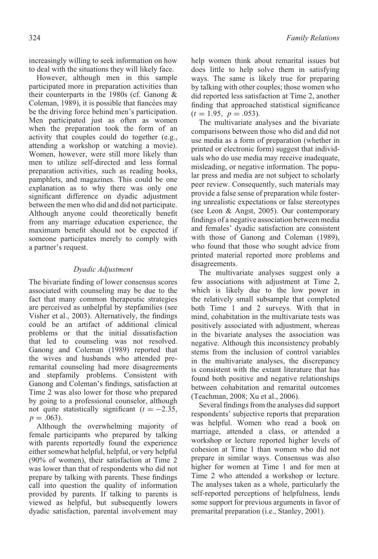increasingly willing to seek information on how to deal with the situations they will likely face.

However, although men in this sample participated more in preparation activities than their counterparts in the 1980s (cf. Ganong & Coleman, 1989), it is possible that fiancées may be the driving force behind men's participation. Men participated just as often as women when the preparation took the form of an activity that couples could do together (e.g., attending a workshop or watching a movie). Women, however, were still more likely than men to utilize self-directed and less formal preparation activities, such as reading books, pamphlets, and magazines. This could be one explanation as to why there was only one significant difference on dyadic adjustment between the men who did and did not participate. Although anyone could theoretically benefit from any marriage education experience, the maximum benefit should not be expected if someone participates merely to comply with a partner's request.

# *Dyadic Adjustment*

The bivariate finding of lower consensus scores associated with counseling may be due to the fact that many common therapeutic strategies are perceived as unhelpful by stepfamilies (see Visher et al., 2003). Alternatively, the findings could be an artifact of additional clinical problems or that the initial dissatisfaction that led to counseling was not resolved. Ganong and Coleman (1989) reported that the wives and husbands who attended preremarital counseling had more disagreements and stepfamily problems. Consistent with Ganong and Coleman's findings, satisfaction at Time 2 was also lower for those who prepared by going to a professional counselor, although not quite statistically significant  $(t = -2.35,$  $p = .063$ ).

Although the overwhelming majority of female participants who prepared by talking with parents reportedly found the experience either somewhat helpful, helpful, or very helpful (90% of women), their satisfaction at Time 2 was lower than that of respondents who did not prepare by talking with parents. These findings call into question the quality of information provided by parents. If talking to parents is viewed as helpful, but subsequently lowers dyadic satisfaction, parental involvement may

help women think about remarital issues but does little to help solve them in satisfying ways. The same is likely true for preparing by talking with other couples; those women who did reported less satisfaction at Time 2, another finding that approached statistical significance  $(t = 1.95, p = .053)$ .

The multivariate analyses and the bivariate comparisons between those who did and did not use media as a form of preparation (whether in printed or electronic form) suggest that individuals who do use media may receive inadequate, misleading, or negative information. The popular press and media are not subject to scholarly peer review. Consequently, such materials may provide a false sense of preparation while fostering unrealistic expectations or false stereotypes (see Leon & Angst, 2005). Our contemporary findings of a negative association between media and females' dyadic satisfaction are consistent with those of Ganong and Coleman (1989), who found that those who sought advice from printed material reported more problems and disagreements.

The multivariate analyses suggest only a few associations with adjustment at Time 2, which is likely due to the low power in the relatively small subsample that completed both Time 1 and 2 surveys. With that in mind, cohabitation in the multivariate tests was positively associated with adjustment, whereas in the bivariate analyses the association was negative. Although this inconsistency probably stems from the inclusion of control variables in the multivariate analyses, the discrepancy is consistent with the extant literature that has found both positive and negative relationships between cohabitation and remarital outcomes (Teachman, 2008; Xu et al., 2006).

Several findings from the analyses did support respondents' subjective reports that preparation was helpful. Women who read a book on marriage, attended a class, or attended a workshop or lecture reported higher levels of cohesion at Time 1 than women who did not prepare in similar ways. Consensus was also higher for women at Time 1 and for men at Time 2 who attended a workshop or lecture. The analyses taken as a whole, particularly the self-reported perceptions of helpfulness, lends some support for previous arguments in favor of premarital preparation (i.e., Stanley, 2001).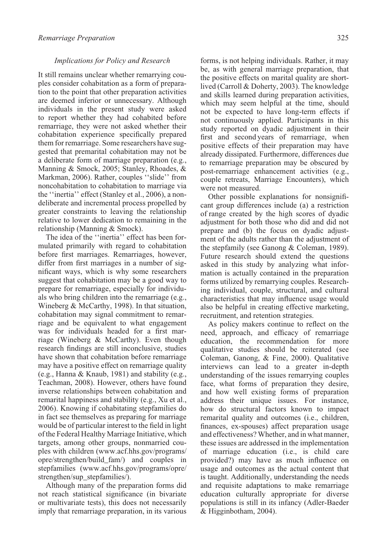### *Implications for Policy and Research*

It still remains unclear whether remarrying couples consider cohabitation as a form of preparation to the point that other preparation activities are deemed inferior or unnecessary. Although individuals in the present study were asked to report whether they had cohabited before remarriage, they were not asked whether their cohabitation experience specifically prepared them for remarriage. Some researchers have suggested that premarital cohabitation may not be a deliberate form of marriage preparation (e.g., Manning & Smock, 2005; Stanley, Rhoades, & Markman, 2006). Rather, couples "slide" from noncohabitation to cohabitation to marriage via the ''inertia'' effect (Stanley et al., 2006), a nondeliberate and incremental process propelled by greater constraints to leaving the relationship relative to lower dedication to remaining in the relationship (Manning & Smock).

The idea of the ''inertia'' effect has been formulated primarily with regard to cohabitation before first marriages. Remarriages, however, differ from first marriages in a number of significant ways, which is why some researchers suggest that cohabitation may be a good way to prepare for remarriage, especially for individuals who bring children into the remarriage (e.g., Wineberg & McCarthy, 1998). In that situation, cohabitation may signal commitment to remarriage and be equivalent to what engagement was for individuals headed for a first marriage (Wineberg & McCarthy). Even though research findings are still inconclusive, studies have shown that cohabitation before remarriage may have a positive effect on remarriage quality (e.g., Hanna & Knaub, 1981) and stability (e.g., Teachman, 2008). However, others have found inverse relationships between cohabitation and remarital happiness and stability (e.g., Xu et al., 2006). Knowing if cohabitating stepfamilies do in fact see themselves as preparing for marriage would be of particular interest to the field in light of the Federal Healthy Marriage Initiative, which targets, among other groups, nonmarried couples with children (www.acf.hhs.gov/programs/ opre/strengthen/build\_fam/) and couples in stepfamilies (www.acf.hhs.gov/programs/opre/ strengthen/sup\_stepfamilies/).

Although many of the preparation forms did not reach statistical significance (in bivariate or multivariate tests), this does not necessarily imply that remarriage preparation, in its various

forms, is not helping individuals. Rather, it may be, as with general marriage preparation, that the positive effects on marital quality are shortlived (Carroll & Doherty, 2003). The knowledge and skills learned during preparation activities, which may seem helpful at the time, should not be expected to have long-term effects if not continuously applied. Participants in this study reported on dyadic adjustment in their first and second years of remarriage, when positive effects of their preparation may have already dissipated. Furthermore, differences due to remarriage preparation may be obscured by post-remarriage enhancement activities (e.g., couple retreats, Marriage Encounters), which were not measured.

Other possible explanations for nonsignificant group differences include (a) a restriction of range created by the high scores of dyadic adjustment for both those who did and did not prepare and (b) the focus on dyadic adjustment of the adults rather than the adjustment of the stepfamily (see Ganong & Coleman, 1989). Future research should extend the questions asked in this study by analyzing what information is actually contained in the preparation forms utilized by remarrying couples. Researching individual, couple, structural, and cultural characteristics that may influence usage would also be helpful in creating effective marketing, recruitment, and retention strategies.

As policy makers continue to reflect on the need, approach, and efficacy of remarriage education, the recommendation for more qualitative studies should be reiterated (see Coleman, Ganong, & Fine, 2000). Qualitative interviews can lead to a greater in-depth understanding of the issues remarrying couples face, what forms of preparation they desire, and how well existing forms of preparation address their unique issues. For instance, how do structural factors known to impact remarital quality and outcomes (i.e., children, finances, ex-spouses) affect preparation usage and effectiveness? Whether, and in what manner, these issues are addressed in the implementation of marriage education (i.e., is child care provided?) may have as much influence on usage and outcomes as the actual content that is taught. Additionally, understanding the needs and requisite adaptations to make remarriage education culturally appropriate for diverse populations is still in its infancy (Adler-Baeder & Higginbotham, 2004).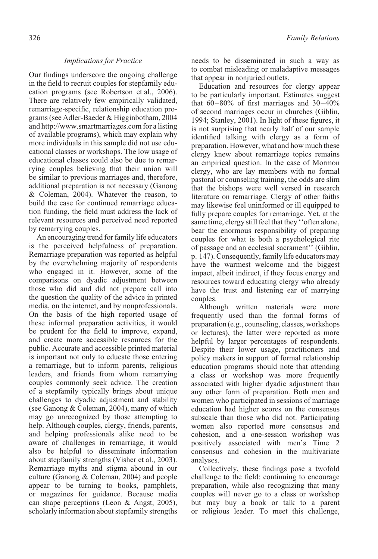# *Implications for Practice*

Our findings underscore the ongoing challenge in the field to recruit couples for stepfamily education programs (see Robertson et al., 2006). There are relatively few empirically validated, remarriage-specific, relationship education programs (see Adler-Baeder & Higginbotham, 2004 and http://www.smartmarriages.com for a listing of available programs), which may explain why more individuals in this sample did not use educational classes or workshops. The low usage of educational classes could also be due to remarrying couples believing that their union will be similar to previous marriages and, therefore, additional preparation is not necessary (Ganong & Coleman, 2004). Whatever the reason, to build the case for continued remarriage education funding, the field must address the lack of relevant resources and perceived need reported by remarrying couples.

An encouraging trend for family life educators is the perceived helpfulness of preparation. Remarriage preparation was reported as helpful by the overwhelming majority of respondents who engaged in it. However, some of the comparisons on dyadic adjustment between those who did and did not prepare call into the question the quality of the advice in printed media, on the internet, and by nonprofessionals. On the basis of the high reported usage of these informal preparation activities, it would be prudent for the field to improve, expand, and create more accessible resources for the public. Accurate and accessible printed material is important not only to educate those entering a remarriage, but to inform parents, religious leaders, and friends from whom remarrying couples commonly seek advice. The creation of a stepfamily typically brings about unique challenges to dyadic adjustment and stability (see Ganong & Coleman, 2004), many of which may go unrecognized by those attempting to help. Although couples, clergy, friends, parents, and helping professionals alike need to be aware of challenges in remarriage, it would also be helpful to disseminate information about stepfamily strengths (Visher et al., 2003). Remarriage myths and stigma abound in our culture (Ganong & Coleman, 2004) and people appear to be turning to books, pamphlets, or magazines for guidance. Because media can shape perceptions (Leon & Angst, 2005), scholarly information about stepfamily strengths

needs to be disseminated in such a way as to combat misleading or maladaptive messages that appear in nonjuried outlets.

Education and resources for clergy appear to be particularly important. Estimates suggest that  $60-80\%$  of first marriages and  $30-40\%$ of second marriages occur in churches (Giblin, 1994; Stanley, 2001). In light of these figures, it is not surprising that nearly half of our sample identified talking with clergy as a form of preparation. However, what and how much these clergy knew about remarriage topics remains an empirical question. In the case of Mormon clergy, who are lay members with no formal pastoral or counseling training, the odds are slim that the bishops were well versed in research literature on remarriage. Clergy of other faiths may likewise feel uninformed or ill equipped to fully prepare couples for remarriage. Yet, at the same time, clergy still feel that they "often alone, bear the enormous responsibility of preparing couples for what is both a psychological rite of passage and an ecclesial sacrament'' (Giblin, p. 147). Consequently, family life educators may have the warmest welcome and the biggest impact, albeit indirect, if they focus energy and resources toward educating clergy who already have the trust and listening ear of marrying couples.

Although written materials were more frequently used than the formal forms of preparation (e.g., counseling, classes, workshops or lectures), the latter were reported as more helpful by larger percentages of respondents. Despite their lower usage, practitioners and policy makers in support of formal relationship education programs should note that attending a class or workshop was more frequently associated with higher dyadic adjustment than any other form of preparation. Both men and women who participated in sessions of marriage education had higher scores on the consensus subscale than those who did not. Participating women also reported more consensus and cohesion, and a one-session workshop was positively associated with men's Time 2 consensus and cohesion in the multivariate analyses.

Collectively, these findings pose a twofold challenge to the field: continuing to encourage preparation, while also recognizing that many couples will never go to a class or workshop but may buy a book or talk to a parent or religious leader. To meet this challenge,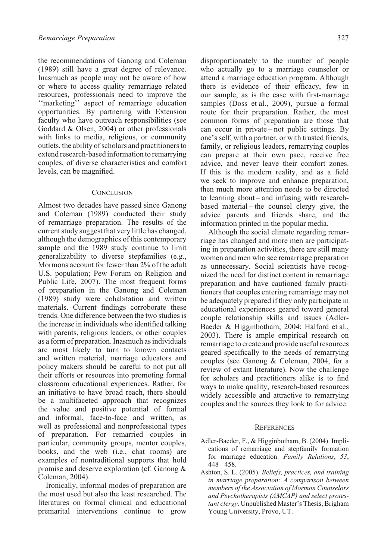the recommendations of Ganong and Coleman (1989) still have a great degree of relevance. Inasmuch as people may not be aware of how or where to access quality remarriage related resources, professionals need to improve the ''marketing'' aspect of remarriage education opportunities. By partnering with Extension faculty who have outreach responsibilities (see Goddard & Olsen, 2004) or other professionals with links to media, religious, or community outlets, the ability of scholars and practitioners to extend research-based information to remarrying couples, of diverse characteristics and comfort levels, can be magnified.

# **CONCLUSION**

Almost two decades have passed since Ganong and Coleman (1989) conducted their study of remarriage preparation. The results of the current study suggest that very little has changed, although the demographics of this contemporary sample and the 1989 study continue to limit generalizability to diverse stepfamilies (e.g., Mormons account for fewer than 2% of the adult U.S. population; Pew Forum on Religion and Public Life, 2007). The most frequent forms of preparation in the Ganong and Coleman (1989) study were cohabitation and written materials. Current findings corroborate these trends. One difference between the two studies is the increase in individuals who identified talking with parents, religious leaders, or other couples as a form of preparation. Inasmuch as individuals are most likely to turn to known contacts and written material, marriage educators and policy makers should be careful to not put all their efforts or resources into promoting formal classroom educational experiences. Rather, for an initiative to have broad reach, there should be a multifaceted approach that recognizes the value and positive potential of formal and informal, face-to-face and written, as well as professional and nonprofessional types of preparation. For remarried couples in particular, community groups, mentor couples, books, and the web (i.e., chat rooms) are examples of nontraditional supports that hold promise and deserve exploration (cf. Ganong & Coleman, 2004).

Ironically, informal modes of preparation are the most used but also the least researched. The literatures on formal clinical and educational premarital interventions continue to grow disproportionately to the number of people who actually go to a marriage counselor or attend a marriage education program. Although there is evidence of their efficacy, few in our sample, as is the case with first-marriage samples (Doss et al., 2009), pursue a formal route for their preparation. Rather, the most common forms of preparation are those that can occur in private – not public settings. By one's self, with a partner, or with trusted friends, family, or religious leaders, remarrying couples can prepare at their own pace, receive free advice, and never leave their comfort zones. If this is the modern reality, and as a field we seek to improve and enhance preparation, then much more attention needs to be directed to learning about – and infusing with researchbased material – the counsel clergy give, the advice parents and friends share, and the information printed in the popular media.

Although the social climate regarding remarriage has changed and more men are participating in preparation activities, there are still many women and men who see remarriage preparation as unnecessary. Social scientists have recognized the need for distinct content in remarriage preparation and have cautioned family practitioners that couples entering remarriage may not be adequately prepared if they only participate in educational experiences geared toward general couple relationship skills and issues (Adler-Baeder & Higginbotham, 2004; Halford et al., 2003). There is ample empirical research on remarriage to create and provide useful resources geared specifically to the needs of remarrying couples (see Ganong & Coleman, 2004, for a review of extant literature). Now the challenge for scholars and practitioners alike is to find ways to make quality, research-based resources widely accessible and attractive to remarrying couples and the sources they look to for advice.

## **REFERENCES**

- Adler-Baeder, F., & Higginbotham, B. (2004). Implications of remarriage and stepfamily formation for marriage education. *Family Relations*, *53*, 448 – 458.
- Ashton, S. L. (2005). *Beliefs, practices, and training in marriage preparation: A comparison between members of the Association of Mormon Counselors and Psychotherapists (AMCAP) and select protestant clergy*. Unpublished Master's Thesis, Brigham Young University, Provo, UT.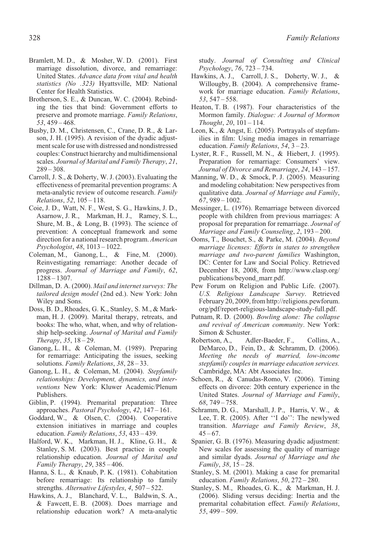- Bramlett, M. D., & Mosher, W. D. (2001). First marriage dissolution, divorce, and remarriage: United States. *Advance data from vital and health statistics (No .323)* Hyattsville, MD: National Center for Health Statistics.
- Brotherson, S. E., & Duncan, W. C. (2004). Rebinding the ties that bind: Government efforts to preserve and promote marriage. *Family Relations*, *53*, 459 – 468.
- Busby, D. M., Christensen, C., Crane, D. R., & Larson, J. H. (1995). A revision of the dyadic adjustment scale for use with distressed and nondistressed couples: Construct hierarchy and multidimensional scales. *Journal of Marital and Family Therapy*, *21*, 289 – 308.
- Carroll, J. S., & Doherty, W. J. (2003). Evaluating the effectiveness of premarital prevention programs: A meta-analytic review of outcome research. *Family Relations*, *52*, 105 – 118.
- Coie, J. D., Watt, N. F., West, S. G., Hawkins, J. D., Asarnow, J. R., Markman, H. J., Ramey, S. L., Shure, M. B., & Long, B. (1993). The science of prevention: A conceptual framework and some direction for a national research program.*American Psychologist*, *48*, 1013 – 1022.
- Coleman, M., Ganong, L., & Fine, M. (2000). Reinvestigating remarriage: Another decade of progress. *Journal of Marriage and Family*, *62*, 1288 – 1307.
- Dillman, D. A. (2000). *Mail and internet surveys: The tailored design model* (2nd ed.). New York: John Wiley and Sons.
- Doss, B. D., Rhoades, G. K., Stanley, S. M., & Markman, H. J. (2009). Marital therapy, retreats, and books: The who, what, when, and why of relationship help-seeking. *Journal of Marital and Family Therapy*, *35*, 18 – 29.
- Ganong, L. H., & Coleman, M. (1989). Preparing for remarriage: Anticipating the issues, seeking solutions. *Family Relations*, *38*, 28 – 33.
- Ganong, L. H., & Coleman, M. (2004). *Stepfamily relationships: Development, dynamics, and interventions* New York: Kluwer Academic/Plenum Publishers.
- Giblin, P. (1994). Premarital preparation: Three approaches. *Pastoral Psychology*, *42*, 147 – 161.
- Goddard, W., & Olsen, C. (2004). Cooperative extension initiatives in marriage and couples education. *Family Relations*, *53*, 433 – 439.
- Halford, W. K., Markman, H. J., Kline, G. H., & Stanley, S. M. (2003). Best practice in couple relationship education. *Journal of Marital and Family Therapy*, *29*, 385 – 406.
- Hanna, S. L., & Knaub, P. K. (1981). Cohabitation before remarriage: Its relationship to family strengths. *Alternative Lifestyles*, *4*, 507 – 522.
- Hawkins, A. J., Blanchard, V. L., Baldwin, S. A., & Fawcett, E. B. (2008). Does marriage and relationship education work? A meta-analytic

study. *Journal of Consulting and Clinical Psychology*, *76*, 723 – 734.

- Hawkins, A. J., Carroll, J. S., Doherty, W. J., & Willougby, B. (2004). A comprehensive framework for marriage education. *Family Relations*, *53*, 547 – 558.
- Heaton, T. B. (1987). Four characteristics of the Mormon family. *Dialogue: A Journal of Mormon Thought*, *20*, 101 – 114.
- Leon, K., & Angst, E. (2005). Portrayals of stepfamilies in film: Using media images in remarriage education. *Family Relations*, *54*, 3 – 23.
- Lyster, R. F., Russell, M. N., & Hiebert, J. (1995). Preparation for remarriage: Consumers' view. *Journal of Divorce and Remarriage*, *24*, 143 – 157.
- Manning, W. D., & Smock, P. J. (2005). Measuring and modeling cohabitation: New perspectives from qualitative data. *Journal of Marriage and Family*, *67*, 989 – 1002.
- Messinger, L. (1976). Remarriage between divorced people with children from previous marriages: A proposal for preparation for remarriage. *Journal of Marriage and Family Counseling*, *2*, 193 – 200.
- Ooms, T., Bouchet, S., & Parke, M. (2004). *Beyond marriage licenses: Efforts in states to strengthen marriage and two-parent families* Washington, DC: Center for Law and Social Policy. Retrieved December 18, 2008, from http://www.clasp.org/ publications/beyond\_marr.pdf.
- Pew Forum on Religion and Public Life. (2007). *U.S. Religious Landscape Survey*. Retrieved February 20, 2009, from http://religions.pewforum. org/pdf/report-religious-landscape-study-full.pdf.
- Putnam, R. D. (2000). *Bowling alone: The collapse and revival of American community*. New York: Simon & Schuster.
- Robertson, A., Adler-Baeder, F., Collins, A., DeMarco, D., Fein, D., & Schramm, D. (2006). *Meeting the needs of married, low-income stepfamily couples in marriage education services.* Cambridge, MA: Abt Associates Inc.
- Schoen, R., & Canudas-Romo, V. (2006). Timing effects on divorce: 20th century experience in the United States. *Journal of Marriage and Family*, *68*, 749 – 758.
- Schramm, D. G., Marshall, J. P., Harris, V. W., & Lee, T. R. (2005). After ''I do'': The newlywed transition. *Marriage and Family Review*, *38*,  $45 - 67$ .
- Spanier, G. B. (1976). Measuring dyadic adjustment: New scales for assessing the quality of marriage and similar dyads. *Journal of Marriage and the Family*, *38*, 15 – 28.
- Stanley, S. M. (2001). Making a case for premarital education. *Family Relations*, *50*, 272 – 280.
- Stanley, S. M., Rhoades, G. K., & Markman, H. J. (2006). Sliding versus deciding: Inertia and the premarital cohabitation effect. *Family Relations*, *55*, 499 – 509.